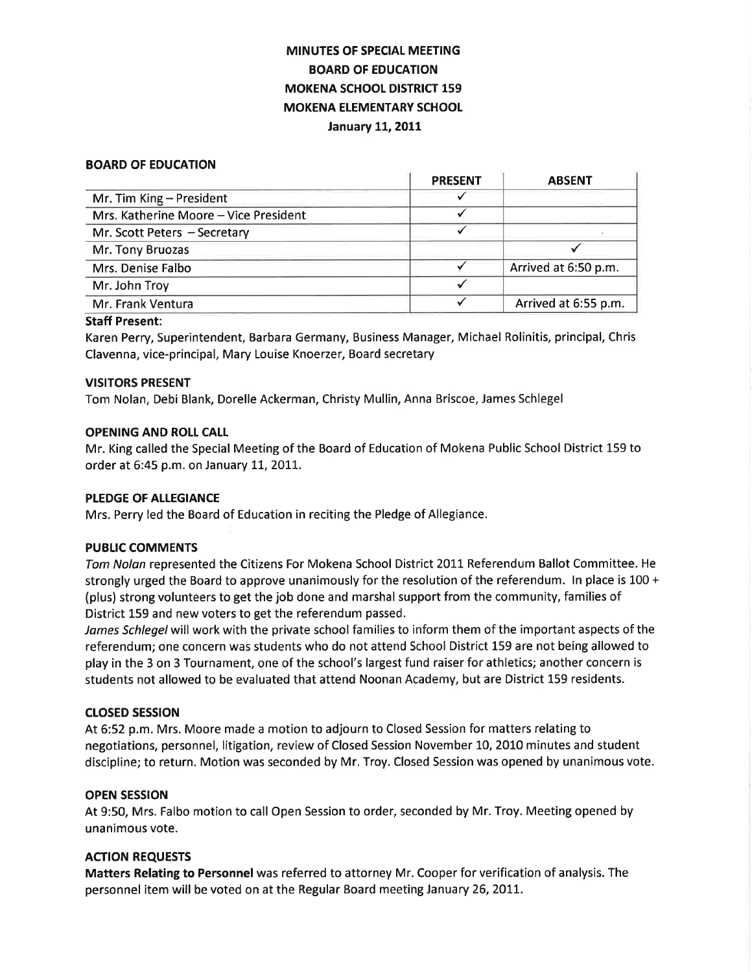# MINUTES OF SPECIAL MEETING BOARD OF EDUCATION **MOKENA SCHOOL DISTRICT 159** MOKENA ELEMENTARY SCHOOL January 11, 2011

#### BOARD OF EDUCATION

|                                       | <b>PRESENT</b> | <b>ABSENT</b>        |
|---------------------------------------|----------------|----------------------|
| Mr. Tim King - President              |                |                      |
| Mrs. Katherine Moore - Vice President |                |                      |
| Mr. Scott Peters - Secretary          |                |                      |
| Mr. Tony Bruozas                      |                |                      |
| Mrs. Denise Falbo                     |                | Arrived at 6:50 p.m. |
| Mr. John Troy                         |                |                      |
| Mr. Frank Ventura                     |                | Arrived at 6:55 p.m. |

#### Staff Present:

Karen Perry, Superintendent, Barbara Germany, Business Manager, Michael Rolinitis, principal, Chris Clavenna, vice-principal, Mary Louise Knoerzer, Board secretary

#### VISITORS PRESENT

Tom Nolan, Debi Blank, Dorelle Ackerman, Christy Mullin, Anna Briscoe, James Schlegel

#### OPENING AND ROLI CALL

Mr. King called the Special Meeting of the Board of Education of Mokena Public School District 159 to order at 6:45 p.m. on January 11, 2011.

#### PLEDGE OF ALLEGIANCE

Mrs. Perry led the Board of Education in reciting the Pledge of Allegiance.

## PUBLIC COMMENTS

Tom Nolan represented the Citizens For Mokena School District 2011 Referendum Ballot Committee. He strongly urged the Board to approve unanimously for the resolution of the referendum. ln place is 100 + (plus) strong volunteers to get the job done and marshal support from the community, families of District 159 and new voters to get the referendum passed.

James Schlegel will work with the private school families to inform them of the important aspects of the referendum; one concern was students who do not attend School District 159 are not being allowed to play in the 3 on 3 Tournament, one of the school's largest fund raiser for athletics; another concern is students not allowed to be evaluated that attend Noonan Academy, but are District 159 residents.

#### crosED sEsstoN

At 6:52 p.m. Mrs. Moore made a motion to adjourn to Closed Session for matters relating to negotiations, personnel, litigation, review of Closed Session November 10, 2010 minutes and student discipline; to return. Motion was seconded by Mr. Troy. Closed Session was opened by unanimous vote.

#### OPEN SESSION

At 9:50, Mrs. Falbo motion to call Open Session to order, seconded by Mr. Troy. Meeting opened by unanimous vote.

## ACTION REQUESTS

Matters Relating to Personnel was referred to attorney Mr. Cooper for verification of analysis. The personnel item will be voted on at the Regular Board meeting January 26, 2011.